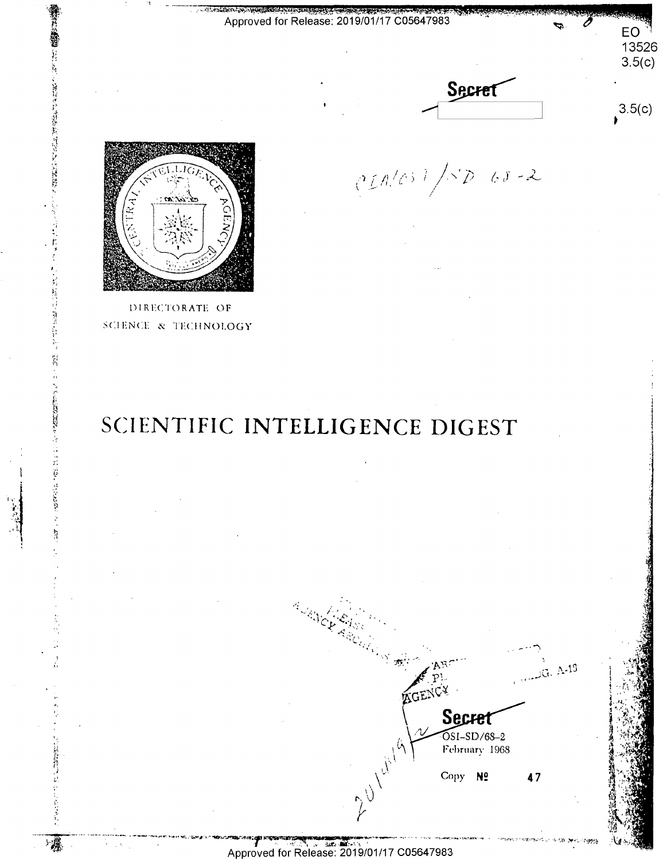Approved for Release: 2019/01/17 C05647983



 $(211/8)$  /SD 68-2

 $3.5(c)$ 

EO 13526  $3.5(c)$ 



人民的 医无法的 医无心的 医心理学的

**WARRENT** 

计数据数据 医精神病

- 漢

DIRECTORATE OF SCIENCE & TECHNOLOGY

# SCIENTIFIC INTELLIGENCE DIGEST

AGENCY Secret OSI-SD/68-2<br>February 1968 2 1 Miles

Copy Nº 47

 $G. A-13$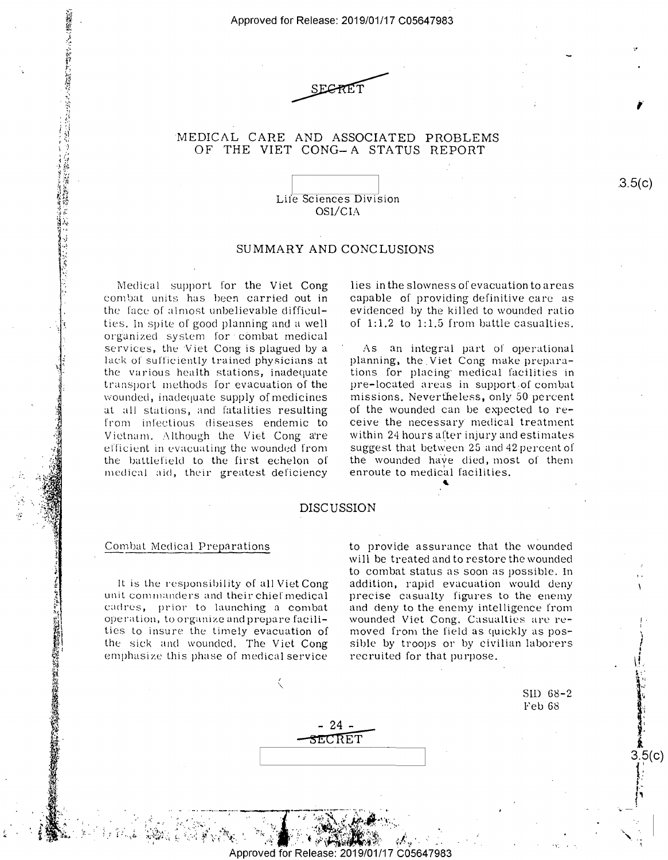Approved for Release: 2019/01/17 C0564 7983 Approved forRelease: 2019/01/17 005647983



# MEDICAL CARE AND ASSOCIATED PROBLEMS 'MEDICAL CARE AND ASSOCIATED PROBLEMS OF THE VIET CONG-A STATUS REPORT OF THE VIET CONG——A STATUS REPORT

Lile Sciences Division Life Sciences Division OSI/CIA OSl/CIA

### SUMMARY AND CONCLUSIONS SUMMARY AND CONCLUSIONS

Medical support for the Viet Cong Medical support for the Viet Cong combat units has been carried <mark>out in - ca</mark>r the face of almost unbelievable difficulties. In spite of good planning and a well  $\qquad$ organized system for combat medical  $\blacksquare$ services, the Viet Cong is plagued by a  $\hspace{0.1cm} 1$ lack ol sulliciently trained physicians at lack of sufficiently trained physicians at the various health stations, inadequate tio transport methods for evacuation of <mark>the</mark> pre $w$ ounded, inadequate supply of $m$ edicines  $\qquad$   $m$ at all stations, and fatalities resulting at all stations, and fatalities resulting from infectious diseases endemic to from infectious diseases endemic to Vietnam. Although the Viet Cong a're – with ellicient in evacuating the wounded from efficient in evacuating the wounded from the battlefield to the first echelon of medical aid, their greatest-deficiency – er OP THE VIET CONSUM MIXION CONSUM CONSUM (2001)<br>
Like Schemen Division<br>
SOF/CA<br>
Like Schemen Division<br>
SOF/CA<br>
Like Schement Division<br>
SOF/CA<br>
SOF/CA<br>
SOF/CA<br>
SOF/CA<br>
SOF/CA<br>
SOF/CA<br>
SOF/CA<br>
SOF/CA<br>
SOF/CA<br>
SOF/CA<br>
SOF/CA<br>

lies in the slowness of evacuation to areas lies in the slowness ofevacuation to areas capable of providing definitive care as capable of providing definitive care as evidenced by the killed to wounded ratio evidenced by the killed to wounded ratio of 1:1.2 to 1:1.5 from battle casualties. of 1:1.2 to 1:1.5 from battle casualties.

As an integral µart or operational As an integral part of operational planning, the Viet Cong make preparations for placing· medical facilities in tions for placing' medical facilities in  $\text{pre-located areas}$  in support of combat missions. Nevertheless, only 50 percent  $\hspace{0.1mm}$ of the wounded can be expected to receive the necessary medical treatment ceive the necesSary' medical treatment within 24 hours after injury and estimates within 24 hours after injury and estimates suggest that between 2G and 42 percent of suggest that between 25 and 42percent of the wounded have died, most of them  $\mathbf r$ iency enroute to medical facilities.<br>DISCUSSION

«

### DISCUSSION

## Combat Medical Preparations

;

 $\alpha$ 

v - I. "W:.'I

fi;vfi  $\ddot{\ddot{\theta}}$ 

 $\frac{2}{3}$ 

「無理」というなどに困っていいます。

 $\sum_{i=1}^N \frac{1}{i} \sum_{j=1}^N \frac{1}{j} \sum_{j=1}^N \frac{1}{j} \sum_{j=1}^N \frac{1}{j} \sum_{j=1}^N \frac{1}{j} \sum_{j=1}^N \frac{1}{j} \sum_{j=1}^N \frac{1}{j} \sum_{j=1}^N \frac{1}{j} \sum_{j=1}^N \frac{1}{j} \sum_{j=1}^N \frac{1}{j} \sum_{j=1}^N \frac{1}{j} \sum_{j=1}^N \frac{1}{j} \sum_{j=1}^N \frac{1}{j} \sum_{j=1}^N \frac{$ . r'" '1?!— 3-43" L.

.4. m4. 9- «2&7! ..

I. u a» 5".) -. a... o- ,.,-"-.'l"""-:a" n \"' , '\*- qa's'ml' "'"- 1. -.. . gi'eL-Eaa—J'F

 $\Sigma$  .  $^{\circ}$ 

It is the responsibility of all Viet Cong It is the responsibility of all Viet Cong unit commanders and their chief medical cadrc·s, prior to launching a combat cadres, prior to launching <sup>a</sup> combat operation, to organize and prepare facili- wounded ties to insure the timely evacuation of ties to insure the timely evacuation of the sick and wounded. The Viet Cong – sib emphasize this phase of medical service emphasize this phase of medical service

> h;"1.  $\cdot$  .  $\cdot$   $\cdot$

to provide assurance that the wounded to provide assurance that the wounded will be treated and to restore the wounded will be treated and to restore the wounded to combat status as soon as possible. In to combat status as soon as possible. In addition, rapid evacuation would deny addition, rapid evacuation would deny precise casualty figures to the enemy precise casualty figures to the enemy and deny to the enemy intelligence from and deny to the enemy intelligence from wounded Viet Cong. Casualties arc re-wounded Viet Cong. Casualties are removed from the field as quickly as pos-  $\sqrt{2}$ sible by troops or by civilian laborers recruited for that purpose. recruited for that purpose.

I ''s\- 1'. . ' I.' ' sm 68-2 Sll) 68-2 Feb 68 Feb 68

,

.3.5(c) .3.5(c)

! . ) , \!.

t: **Ii,** 

1: **l**  3.5(c) {; I' ,.- ,.,

 $-24$  – - **5ECRET-** ET

*I*   $\overline{\phantom{0}}$ 

i' $\sim$ '\

pproved for Release: 2019، ase: 2019/01/17 C05647983  $\mathcal{F} = \mathcal{F} = \mathcal{F} = \mathcal{F} = \mathcal{F} = \mathcal{F} = \mathcal{F} = \mathcal{F}$ 

."y' 1

u. . §

2' I "

"it: -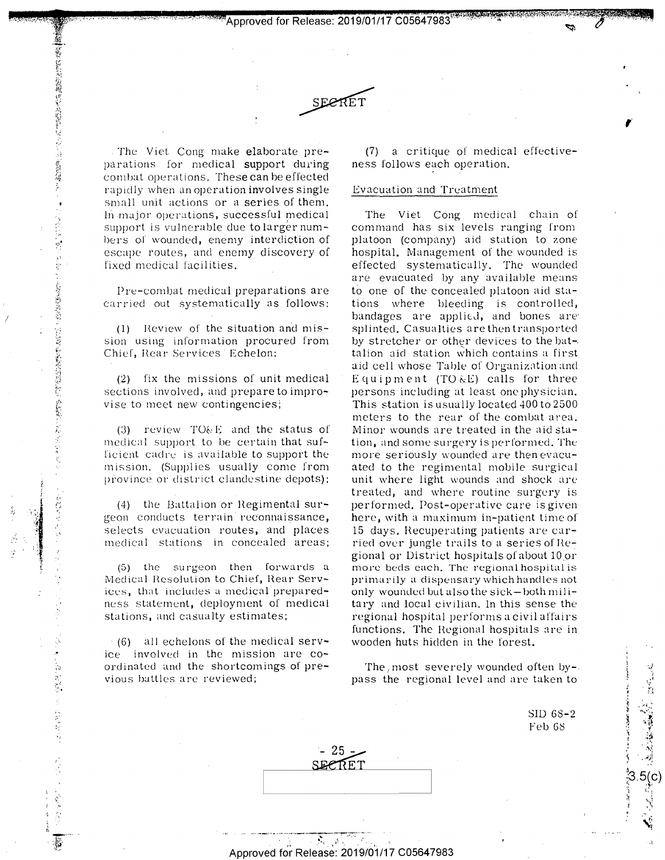"' ., •. ,.,,,., •, .. ·•·<•, •' ,, ·'' •,..~ **'Approved for Release: 2019/01/17 C056479831** "Approved for Release: <sup>201</sup> 9/91/1 7' <sup>605649788</sup>flair?" '5" 'a'k' - \$113331\_,1.-1".'a\_..5¥.n'MiJ:-1}q '5'":. .mv -\_"'" \_, '.. '<sup>H</sup> '- .-..'-'-' he: :' <sup>u</sup>'h . . <sup>p</sup> 4. <sup>m</sup>



The Viet Cong make elaborate pre- (7 parations for medical support during <mark>ne</mark>s combat operations. Thes**e ca**n be effected rapidly when an operati<mark>on involves single Ev</mark> small unit actions or a series of them. In major operations, successful medical  $\blacksquare$ support is vulnerable due tolarger num~ == cor bers of wounded, enemy interdiction of  $\qquad$  p escape routes, and enemy discovery of escape routes, and enemy discovery of fixed medical facilities. fixed medical facilities.

Pre-combat medical preparations are to carried out systematically as follows: carried out systematically as follows:

(1) Heview of the situation and mis-(1) Review of the situation and mis- sion using information procured from by str Chief, Hear Services Echelon: Chief, Rear Services Echelon;

*!* 

 $\epsilon$  and  $\epsilon$  and  $\epsilon$  and  $\epsilon$  and  $\epsilon$ I" i:  $1.7$ 

1 . -.. ,. 4 ' \_ \_.... ' --.-.r,w\_'. <sup>w</sup> ..'\_- u. '? «'w' ' :'.-"=;..1-'\_".'1€[\$'.;'-.i' ' .9": :1}.- ','.E. {.R'. v. N V t ., . '.. "yr-u . ..

 $\ddot{\phantom{0}}$ 

a gans en av 1941.<br>E

(2) fix the missions of unit medical  $\blacksquare$ sections involved, and prepare to impro- persons vise to meet new contingencies; vise to meet new contingencies:

(3) review TO&E and the status of medical support to be certain that suf- tion ficient cadre is available to support the mo mission. (Supplies usually come from ated t province or district clandestine depots);

(4) the Battalion or Hegimental sur-(4) 'the Battalion or Regimental sur~ geon conducts terrain reconnaissance, selects evacuation routes, and places 15 medical stations in concealed areas;

 $(5)$  the surgeon then forwards a mo Medical Resolution to Chief, Rear Serv- prin ices, that includes a medical preparedness statement, deployment of medical stations, and casualty estimates; stations, and casualty estimates;

 $(6)$  all echelons of the medical serv- wood ice involved in the mission are co-ice involved in the mission are co~ ordinated and the shortcomings of previous battles arc reviewed; vious battles are reviewed;

(7) a critique of medical effectiveness follows each operation. ness follows each operation.

,.

**'·~·,··, ..** 

### Evacuation and Treatment Evacuation and Treatment

The Viet Cong medical chain of The Viet Cong medical chain of command has six levels ranging from command has six levels ranging from platoon (company) aid station to zone platoon (company) aid station to zone hospital. Management of the wounded is effected systematically. The wounded effected systematically. The wounded are evacuated by any available means are evacuated by any available means to one of the concealed platoon aid sta-to one of the concealed platoon aid stations where bleeding is controlled, bandages are applied, and bones are splinted. Casualties are then transported spl inted. Casualties are then transported by stretcher or other devices to the bat-.  $\overline{\phantom{a}}$ talion aid station which contains a first talion aid station which contains» a first aid cell whose Table of Organization and Equipment (TO  $_{\&}$ E) calls for three persons including at least one physician. persons including at least one physician. This station is usually located 400 to 2500 This station is usually 10cated 400 to 2500 meters to the rear of the combat area. meters to the rear of the combat area. Minor wounds are treated in the aid sta-Minor wounds are treated in the aid sta tion, ancl some surgery is performed. The tion, and some surgery is perform ed. The more seriously wounded are then evacu-more seriously wounded are. thenevacuated to the regimental mobile surgical ated to the regimental mobile surgical unit where light wounds and shock arc unit where light wounds and shock are treated, and where routine surgery is treated, and where routine surgery is performed. Post-operative care is given performed. Post-operative care is given here, with a maximum in-patient time of 15 days. Hecuperating patients are car-15 days. Recuperating patients are car ried over jungle trails to a series of Regional or District hospitals of about 10.or gional or District hospitals of about 10\_0r more beds each. The regional hospital is  $\frac{1}{2}$ primarily a dispensary which handles not primarily <sup>a</sup> dispensary which handles not .<br>only wounded but also the sick-both military and local civilian. In this sense the tary and local civilian. In this sense the regional hospital performs a civil affairs  $\overline{\phantom{a}}$ functions. The Hegional hospitals arc in functions. The Regional hospitals are in wooden huts hidden in the forest. wooden huts hidden in the forest. province or district clandestine depots): unit where ligt wounds and shock are provided stream in recommissance, here, with a maximum in-patter in the set of selects evacuation routes, and places is days, Recuperating pat tions where bleeding is controlled, bandages are applied, and bones are

The *I* most severely wounded often by-The/most severely wounded often by—. pass the regional level and are taken to pass the regional level and are taken to The most severely wounded often by-<br>
pass the regional level and are taken to<br>
SID 68-2<br>
Feb 68<br>
FET<br>
23.5(C<br>
23.5)<br>
3.5(C<br>
23.5)<br>
23.5(C<br>
23.5)

SID 68-2 SID 68 2 Feb 68

·.-)

',: ·--*... ·:-,~* <sup>~</sup>-;:~ . r

nub-'14 o $\frac{1}{3}$   $\frac{1}{3}$ 

 $\mathbf{d}_1$   $\mathbf{e}^{\mathbf{e}^{\mathbf{e}}}_{\mathbf{e}^{\mathbf{e}}_{\mathbf{e}^{\mathbf{e}}}}$ 

.;~ ,, . **,"t,•~** 

•.. ~~~ \/1 ·, 1•,•: •- "" **<sup>L</sup>** t... | 1' ,z .\_ i'.'l Approved for Release: 2019/01/17 C05647983

uncut-real and a state of the state of the state of the state of the state of the state of the state of the st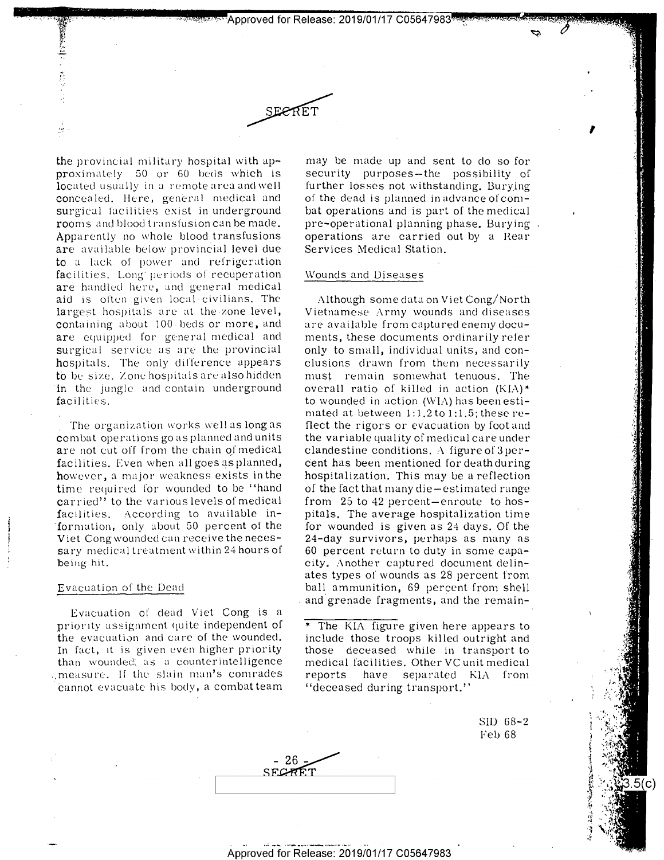pproved for Release: 2019/01/17 C05647983<sup>,</sup>

# SECRET

the provincial military hospital with approximately 50 or 60 beds which is located usually in a remote area and well concealed. Here, general medical and surgical facilities exist in underground rooms and blood transfusion can be made. Apparently no whole blood transfusions are available below provincial level due to a lack of power and refrigeration facilities. Long periods of recuperation are handled here, and general medical aid is often given local civilians. The largest hospitals are at the zone level, containing about 100 beds or more, and are equipped for general medical and surgical service as are the provincial hospitals. The only difference appears to be size. Zone hospitals are also hidden in the jungle and contain underground facilities.

The organization works well as long as combat operations go as planned and units are not cut off from the chain of medical facilities. Even when all goes as planned, however, a major weakness exists in the time required for wounded to be "hand carried" to the various levels of medical facilities. According to available information, only about 50 percent of the Viet Cong wounded can receive the necessary medical treatment within 24 hours of being hit.

#### Evacuation of the Dead

Evacuation of dead Viet Cong is a priority assignment quite independent of the evacuation and care of the wounded. In fact, it is given even higher priority than wounded as a counterintelligence imeasure. If the slain man's comrades cannot evacuate his body, a combatteam may be made up and sent to do so for security purposes-the possibility of further losses not withstanding. Burying of the dead is planned in advance of combat operations and is part of the medical pre-operational planning phase. Burying operations are carried out by a Rear Services Medical Station.

#### Wounds and Diseases

Although some data on Viet Cong/North Vietnamese Army wounds and diseases are available from captured enemy documents, these documents ordinarily refer only to small, individual units, and conclusions drawn from them necessarily must remain somewhat tenuous. The overall ratio of killed in action (KIA)\* to wounded in action (WIA) has been estimated at between 1:1.2 to 1:1.5; these reflect the rigors or evacuation by foot and the variable quality of medical care under clandestine conditions. A figure of  $3 \text{ per}$ cent has been mentioned for death during hospitalization. This may be a reflection of the fact that many die-estimated range from  $25$  to  $42$  percent-enroute to hospitals. The average hospitalization time for wounded is given as 24 days. Of the 24-day survivors, perhaps as many as 60 percent return to duty in some capacity. Another captured document delinates types of wounds as 28 percent from ball ammunition, 69 percent from shell and grenade fragments, and the remain-

\* The KIA figure given here appears to include those troops killed outright and those deceased while in transport to medical facilities. Other VC unit medical reports have separated KIA from "deceased during transport."

> SID 68-2 Feb 68

> > 5(c)

Approved for Release: 2019/01/17 C05647983

- 26 SECRET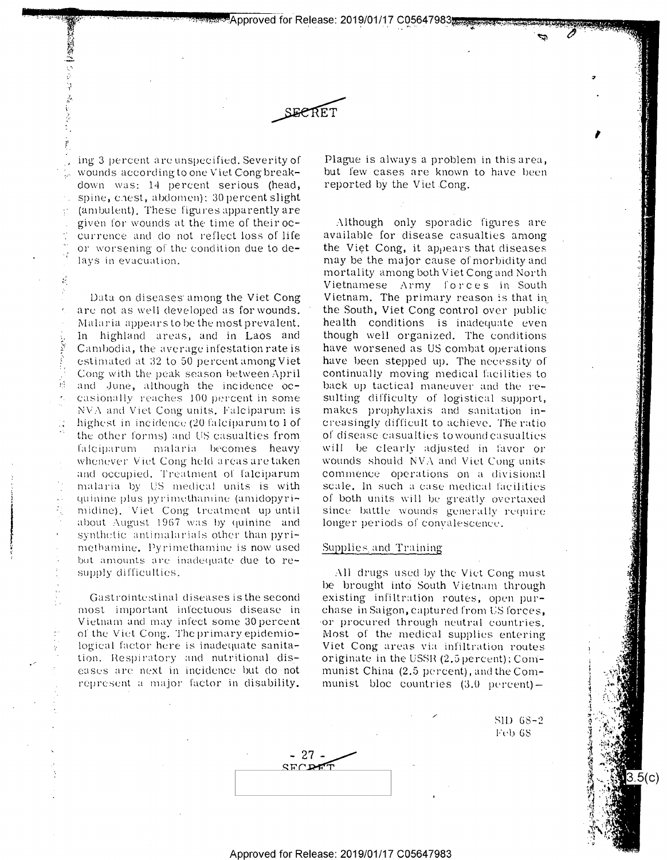Approved for Release: 2019/01/17 C05647983



ing 3 percent are unspecified. Severity of wounds according to one Viet Cong breakdown was: 14 percent serious (head, spine, chest, abdomen); 30 percent slight (ambulent). These figures apparently are given for wounds at the time of their occurrence and do not reflect loss of life or worsening of the condition due to delays in evacuation.

衰弱性 いいす

医气管

 $\vec{M}$ 

W

Data on diseases among the Viet Cong are not as well developed as for wounds. Malaria appears to be the most prevalent. In highland areas, and in Laos and Cambodia, the average infestation rate is estimated at 32 to 50 percent among Viet Cong with the peak season between April and June, although the incidence occasionally reaches 100 percent in some NVA and Viet Cong units. Falciparum is highest in incidence (20 falciparum to 1 of the other forms) and US casualties from falciparum malaria becomes heavy whenever Viet Cong held areas are taken and occupied. Treatment of falciparum malaria by US medical units is with quinine plus pyrimethamine (amidopyrimidine). Viet Cong treatment up until about August 1967 was by quinine and synthetic antimalarials other than pyrimethamine. Pyrimethamine is now used but amounts are inadequate due to resupply difficulties.

Gastrointestinal diseases is the second most important infectuous disease in Vietnam and may infect some 30 percent of the Viet Cong. The primary epidemiological factor here is inadequate sanitation. Respiratory and nutritional diseases are next in incidence but do not represent a major factor in disability.

Plague is always a problem in this area, but few cases are known to have been reported by the Viet Cong.

Although only sporadic figures are available for disease casualties among the Viet Cong, it appears that diseases may be the major cause of morbidity and mortality among both Viet Cong and North Vietnamese Army forces in South Vietnam. The primary reason is that in the South, Viet Cong control over public health conditions is inadequate even though well organized. The conditions have worsened as US combat operations have been stepped up. The necessity of continually moving medical facilities to back up tactical maneuver and the resulting difficulty of logistical support, makes prophylaxis and sanitation increasingly difficult to achieve. The ratio of disease casualties to wound casualties will be clearly adjusted in favor or wounds should NVA and Viet Cong units commence operations on a divisional scale. In such a case medical facilities of both units will be greatly overtaxed since battle wounds generally require longer periods of convalescence.

### Supplies and Training

All drugs used by the Viet Cong must be brought into South Vietnam through existing infiltration routes, open purchase in Saigon, captured from US forces, or procured through neutral countries. Most of the medical supplies entering Viet Cong areas via infiltration routes originate in the USSR (2,5 percent); Communist China (2.5 percent), and the Communist bloc countries (3.0 percent)-

> SID 68-2 **Feb 68**

> > 3.5(c)

 $-27$  - $STCD$